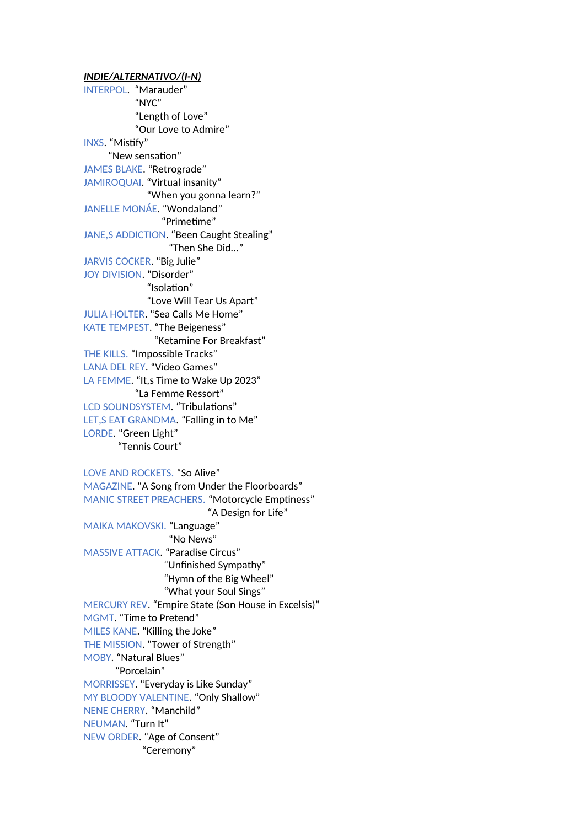*INDIE/ALTERNATIVO/(I-N)* INTERPOL. "Marauder" "NYC" "Length of Love" "Our Love to Admire" INXS. "Mistify" "New sensation" JAMES BLAKE. "Retrograde" JAMIROQUAI. "Virtual insanity" "When you gonna learn?" JANELLE MONÁE. "Wondaland" "Primetime" JANE,S ADDICTION. "Been Caught Stealing" "Then She Did..." JARVIS COCKER. "Big Julie" JOY DIVISION. "Disorder" "Isolation" "Love Will Tear Us Apart" JULIA HOLTER. "Sea Calls Me Home" KATE TEMPEST. "The Beigeness" "Ketamine For Breakfast" THE KILLS. "Impossible Tracks" LANA DEL REY. "Video Games" LA FEMME. "It,s Time to Wake Up 2023" "La Femme Ressort" LCD SOUNDSYSTEM. "Tribulations" LET,S EAT GRANDMA. "Falling in to Me" LORDE. "Green Light" "Tennis Court" LOVE AND ROCKETS. "So Alive" MAGAZINE. "A Song from Under the Floorboards" MANIC STREET PREACHERS. "Motorcycle Emptiness" "A Design for Life" MAIKA MAKOVSKI. "Language" "No News" MASSIVE ATTACK. "Paradise Circus"

 "Unfinished Sympathy" "Hymn of the Big Wheel" "What your Soul Sings" MERCURY REV. "Empire State (Son House in Excelsis)" MGMT. "Time to Pretend" MILES KANE. "Killing the Joke" THE MISSION. "Tower of Strength" MOBY. "Natural Blues" "Porcelain" MORRISSEY. "Everyday is Like Sunday" MY BLOODY VALENTINE. "Only Shallow" NENE CHERRY. "Manchild" NEUMAN. "Turn It" NEW ORDER. "Age of Consent" "Ceremony"